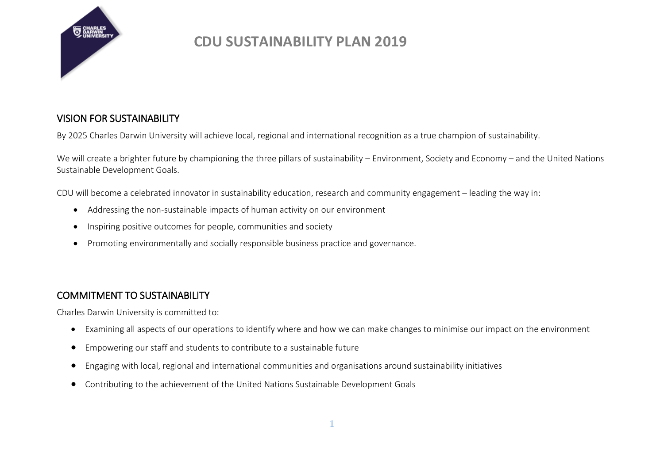

### VISION FOR SUSTAINABILITY

By 2025 Charles Darwin University will achieve local, regional and international recognition as a true champion of sustainability.

We will create a brighter future by championing the three pillars of sustainability – Environment, Society and Economy – and the United Nations Sustainable Development Goals.

CDU will become a celebrated innovator in sustainability education, research and community engagement – leading the way in:

- Addressing the non-sustainable impacts of human activity on our environment
- Inspiring positive outcomes for people, communities and society
- Promoting environmentally and socially responsible business practice and governance.

### COMMITMENT TO SUSTAINABILITY

Charles Darwin University is committed to:

- Examining all aspects of our operations to identify where and how we can make changes to minimise our impact on the environment
- Empowering our staff and students to contribute to a sustainable future
- Engaging with local, regional and international communities and organisations around sustainability initiatives
- Contributing to the achievement of the United Nations Sustainable Development Goals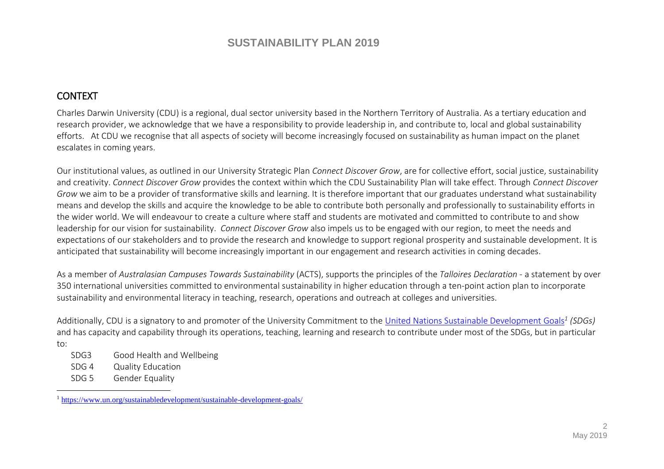### CONTEXT

Charles Darwin University (CDU) is a regional, dual sector university based in the Northern Territory of Australia. As a tertiary education and research provider, we acknowledge that we have a responsibility to provide leadership in, and contribute to, local and global sustainability efforts. At CDU we recognise that all aspects of society will become increasingly focused on sustainability as human impact on the planet escalates in coming years.

Our institutional values, as outlined in our University Strategic Plan *Connect Discover Grow*, are for collective effort, social justice, sustainability and creativity. *Connect Discover Grow* provides the context within which the CDU Sustainability Plan will take effect. Through *Connect Discover Grow* we aim to be a provider of transformative skills and learning. It is therefore important that our graduates understand what sustainability means and develop the skills and acquire the knowledge to be able to contribute both personally and professionally to sustainability efforts in the wider world. We will endeavour to create a culture where staff and students are motivated and committed to contribute to and show leadership for our vision for sustainability. *Connect Discover Grow* also impels us to be engaged with our region, to meet the needs and expectations of our stakeholders and to provide the research and knowledge to support regional prosperity and sustainable development. It is anticipated that sustainability will become increasingly important in our engagement and research activities in coming decades.

As a member of *Australasian Campuses Towards Sustainability* (ACTS), supports the principles of the *Talloires Declaration* - a statement by over 350 international universities committed to environmental sustainability in higher education through a ten-point action plan to incorporate sustainability and environmental literacy in teaching, research, operations and outreach at colleges and universities.

Additionally, CDU is a signatory to and promoter of the University Commitment to the [United Nations Sustainable Development Goals](https://www.un.org/sustainabledevelopment/sustainable-development-goals/)*<sup>1</sup> (SDGs)* and has capacity and capability through its operations, teaching, learning and research to contribute under most of the SDGs, but in particular to:

- SDG3 Good Health and Wellbeing
- SDG 4 Quality Education
- SDG 5 Gender Equality

 $\overline{a}$ 

<sup>1</sup> <https://www.un.org/sustainabledevelopment/sustainable-development-goals/>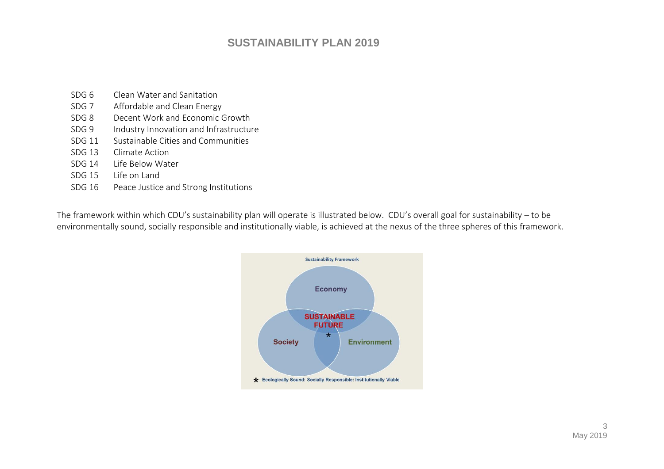- SDG 6 Clean Water and Sanitation
- SDG 7 Affordable and Clean Energy
- SDG 8 Decent Work and Economic Growth
- SDG 9 Industry Innovation and Infrastructure
- SDG 11 Sustainable Cities and Communities
- SDG 13 Climate Action
- SDG 14 Life Below Water
- SDG 15 Life on Land
- SDG 16 Peace Justice and Strong Institutions

The framework within which CDU's sustainability plan will operate is illustrated below. CDU's overall goal for sustainability – to be environmentally sound, socially responsible and institutionally viable, is achieved at the nexus of the three spheres of this framework.

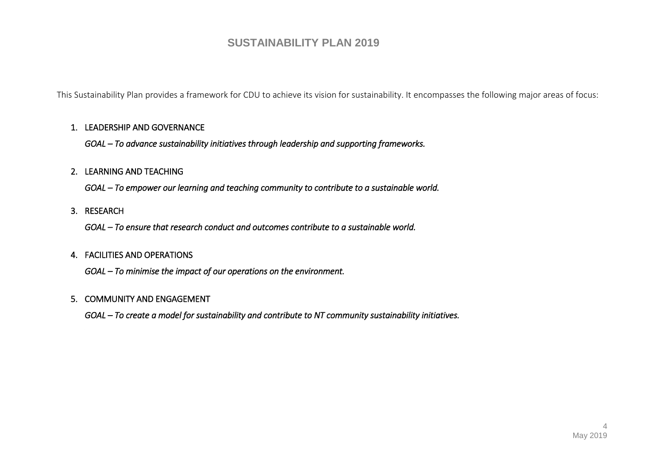This Sustainability Plan provides a framework for CDU to achieve its vision for sustainability. It encompasses the following major areas of focus:

#### 1. LEADERSHIP AND GOVERNANCE

*GOAL – To advance sustainability initiatives through leadership and supporting frameworks.* 

#### 2. LEARNING AND TEACHING

*GOAL – To empower our learning and teaching community to contribute to a sustainable world.* 

#### 3. RESEARCH

*GOAL – To ensure that research conduct and outcomes contribute to a sustainable world.* 

#### 4. FACILITIES AND OPERATIONS

*GOAL – To minimise the impact of our operations on the environment.* 

#### 5. COMMUNITY AND ENGAGEMENT

*GOAL – To create a model for sustainability and contribute to NT community sustainability initiatives.*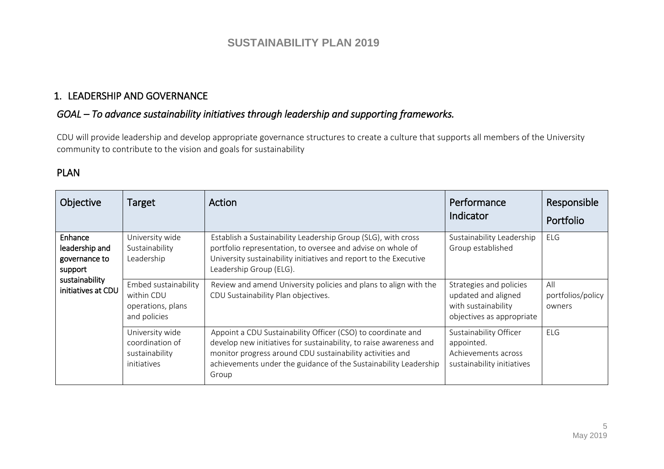### 1. LEADERSHIP AND GOVERNANCE

### *GOAL – To advance sustainability initiatives through leadership and supporting frameworks.*

CDU will provide leadership and develop appropriate governance structures to create a culture that supports all members of the University community to contribute to the vision and goals for sustainability

### PLAN

| <b>Objective</b>                                      | <b>Target</b>                                                           | Action                                                                                                                                                                                                                                                                       | Performance<br>Indicator                                                                           | Responsible<br>Portfolio           |
|-------------------------------------------------------|-------------------------------------------------------------------------|------------------------------------------------------------------------------------------------------------------------------------------------------------------------------------------------------------------------------------------------------------------------------|----------------------------------------------------------------------------------------------------|------------------------------------|
| Enhance<br>leadership and<br>governance to<br>support | University wide<br>Sustainability<br>Leadership                         | Establish a Sustainability Leadership Group (SLG), with cross<br>portfolio representation, to oversee and advise on whole of<br>University sustainability initiatives and report to the Executive<br>Leadership Group (ELG).                                                 | Sustainability Leadership<br>Group established                                                     | <b>ELG</b>                         |
| sustainability<br>initiatives at CDU                  | Embed sustainability<br>within CDU<br>operations, plans<br>and policies | Review and amend University policies and plans to align with the<br>CDU Sustainability Plan objectives.                                                                                                                                                                      | Strategies and policies<br>updated and aligned<br>with sustainability<br>objectives as appropriate | All<br>portfolios/policy<br>owners |
|                                                       | University wide<br>coordination of<br>sustainability<br>initiatives     | Appoint a CDU Sustainability Officer (CSO) to coordinate and<br>develop new initiatives for sustainability, to raise awareness and<br>monitor progress around CDU sustainability activities and<br>achievements under the guidance of the Sustainability Leadership<br>Group | Sustainability Officer<br>appointed.<br>Achievements across<br>sustainability initiatives          | <b>ELG</b>                         |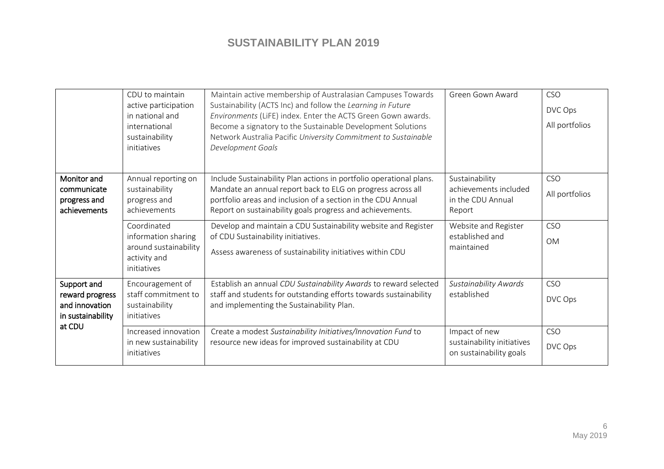|                                                                       | CDU to maintain                                                                            | Maintain active membership of Australasian Campuses Towards                                                                                                                                                                                                                       | Green Gown Award                                                       | <b>CSO</b>                   |
|-----------------------------------------------------------------------|--------------------------------------------------------------------------------------------|-----------------------------------------------------------------------------------------------------------------------------------------------------------------------------------------------------------------------------------------------------------------------------------|------------------------------------------------------------------------|------------------------------|
|                                                                       | active participation<br>in national and<br>international<br>sustainability<br>initiatives  | Sustainability (ACTS Inc) and follow the Learning in Future<br>Environments (LiFE) index. Enter the ACTS Green Gown awards.<br>Become a signatory to the Sustainable Development Solutions<br>Network Australia Pacific University Commitment to Sustainable<br>Development Goals |                                                                        | DVC Ops<br>All portfolios    |
| Monitor and<br>communicate<br>progress and<br>achievements            | Annual reporting on<br>sustainability<br>progress and<br>achievements                      | Include Sustainability Plan actions in portfolio operational plans.<br>Mandate an annual report back to ELG on progress across all<br>portfolio areas and inclusion of a section in the CDU Annual<br>Report on sustainability goals progress and achievements.                   | Sustainability<br>achievements included<br>in the CDU Annual<br>Report | <b>CSO</b><br>All portfolios |
|                                                                       | Coordinated<br>information sharing<br>around sustainability<br>activity and<br>initiatives | Develop and maintain a CDU Sustainability website and Register<br>of CDU Sustainability initiatives.<br>Assess awareness of sustainability initiatives within CDU                                                                                                                 | Website and Register<br>established and<br>maintained                  | <b>CSO</b><br><b>OM</b>      |
| Support and<br>reward progress<br>and innovation<br>in sustainability | Encouragement of<br>staff commitment to<br>sustainability<br>initiatives                   | Establish an annual CDU Sustainability Awards to reward selected<br>staff and students for outstanding efforts towards sustainability<br>and implementing the Sustainability Plan.                                                                                                | <b>Sustainability Awards</b><br>established                            | <b>CSO</b><br>DVC Ops        |
| at CDU                                                                | Increased innovation<br>in new sustainability<br>initiatives                               | Create a modest Sustainability Initiatives/Innovation Fund to<br>resource new ideas for improved sustainability at CDU                                                                                                                                                            | Impact of new<br>sustainability initiatives<br>on sustainability goals | <b>CSO</b><br>DVC Ops        |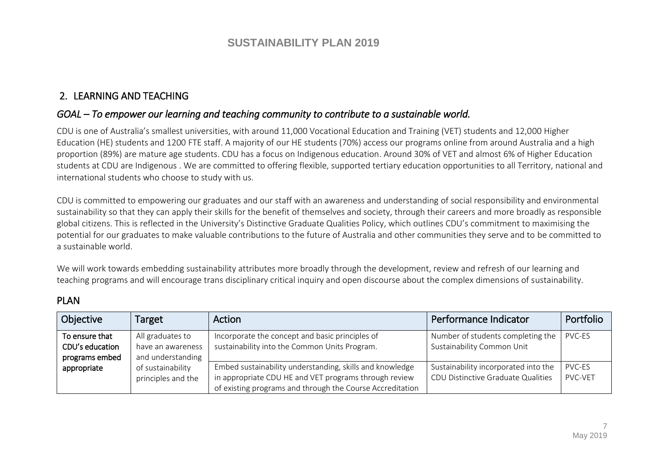### 2. LEARNING AND TEACHING

### *GOAL – To empower our learning and teaching community to contribute to a sustainable world.*

CDU is one of Australia's smallest universities, with around 11,000 Vocational Education and Training (VET) students and 12,000 Higher Education (HE) students and 1200 FTE staff. A majority of our HE students (70%) access our programs online from around Australia and a high proportion (89%) are mature age students. CDU has a focus on Indigenous education. Around 30% of VET and almost 6% of Higher Education students at CDU are Indigenous . We are committed to offering flexible, supported tertiary education opportunities to all Territory, national and international students who choose to study with us.

CDU is committed to empowering our graduates and our staff with an awareness and understanding of social responsibility and environmental sustainability so that they can apply their skills for the benefit of themselves and society, through their careers and more broadly as responsible global citizens. This is reflected in the University's Distinctive Graduate Qualities Policy, which outlines CDU's commitment to maximising the potential for our graduates to make valuable contributions to the future of Australia and other communities they serve and to be committed to a sustainable world.

We will work towards embedding sustainability attributes more broadly through the development, review and refresh of our learning and teaching programs and will encourage trans disciplinary critical inquiry and open discourse about the complex dimensions of sustainability.

### PLAN

| Objective                                           | Target                                                     | Action                                                                                                                                                                         | Performance Indicator                                                      | Portfolio                |
|-----------------------------------------------------|------------------------------------------------------------|--------------------------------------------------------------------------------------------------------------------------------------------------------------------------------|----------------------------------------------------------------------------|--------------------------|
| To ensure that<br>CDU's education<br>programs embed | All graduates to<br>have an awareness<br>and understanding | Incorporate the concept and basic principles of<br>sustainability into the Common Units Program.                                                                               | Number of students completing the<br>Sustainability Common Unit            | PVC-ES                   |
| appropriate                                         | of sustainability<br>principles and the                    | Embed sustainability understanding, skills and knowledge<br>in appropriate CDU HE and VET programs through review<br>of existing programs and through the Course Accreditation | Sustainability incorporated into the<br>CDU Distinctive Graduate Qualities | <b>PVC-ES</b><br>PVC-VET |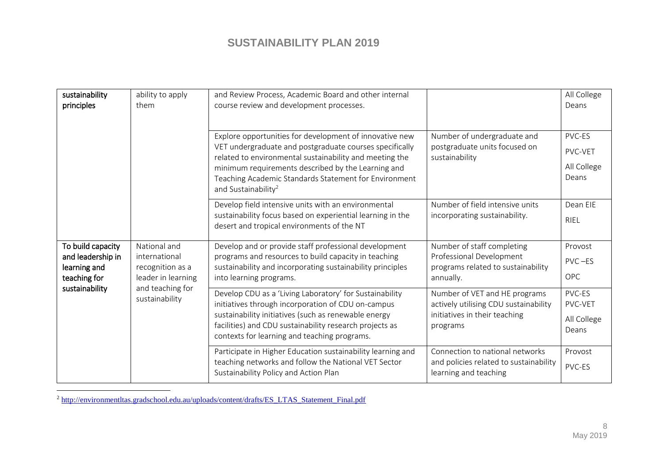| sustainability<br>principles                                                             | ability to apply<br>them                                                                                      | and Review Process, Academic Board and other internal<br>course review and development processes.                                                                                                                                                                                                                               |                                                                                                                     | All College<br>Deans                      |
|------------------------------------------------------------------------------------------|---------------------------------------------------------------------------------------------------------------|---------------------------------------------------------------------------------------------------------------------------------------------------------------------------------------------------------------------------------------------------------------------------------------------------------------------------------|---------------------------------------------------------------------------------------------------------------------|-------------------------------------------|
|                                                                                          |                                                                                                               | Explore opportunities for development of innovative new<br>VET undergraduate and postgraduate courses specifically<br>related to environmental sustainability and meeting the<br>minimum requirements described by the Learning and<br>Teaching Academic Standards Statement for Environment<br>and Sustainability <sup>2</sup> | Number of undergraduate and<br>postgraduate units focused on<br>sustainability                                      | PVC-ES<br>PVC-VET<br>All College<br>Deans |
|                                                                                          |                                                                                                               | Develop field intensive units with an environmental<br>sustainability focus based on experiential learning in the<br>desert and tropical environments of the NT                                                                                                                                                                 | Number of field intensive units<br>incorporating sustainability.                                                    | Dean EIE<br><b>RIEL</b>                   |
| To build capacity<br>and leadership in<br>learning and<br>teaching for<br>sustainability | National and<br>international<br>recognition as a<br>leader in learning<br>and teaching for<br>sustainability | Develop and or provide staff professional development<br>programs and resources to build capacity in teaching<br>sustainability and incorporating sustainability principles<br>into learning programs.                                                                                                                          | Number of staff completing<br>Professional Development<br>programs related to sustainability<br>annually.           | Provost<br>$PVC - ES$<br><b>OPC</b>       |
|                                                                                          |                                                                                                               | Develop CDU as a 'Living Laboratory' for Sustainability<br>initiatives through incorporation of CDU on-campus<br>sustainability initiatives (such as renewable energy<br>facilities) and CDU sustainability research projects as<br>contexts for learning and teaching programs.                                                | Number of VET and HE programs<br>actively utilising CDU sustainability<br>initiatives in their teaching<br>programs | PVC-ES<br>PVC-VET<br>All College<br>Deans |
|                                                                                          |                                                                                                               | Participate in Higher Education sustainability learning and<br>teaching networks and follow the National VET Sector<br>Sustainability Policy and Action Plan                                                                                                                                                                    | Connection to national networks<br>and policies related to sustainability<br>learning and teaching                  | Provost<br>PVC-ES                         |

<sup>2</sup> [http://environmentltas.gradschool.edu.au/uploads/content/drafts/ES\\_LTAS\\_Statement\\_Final.pdf](http://environmentltas.gradschool.edu.au/uploads/content/drafts/ES_LTAS_Statement_Final.pdf)

 $\overline{a}$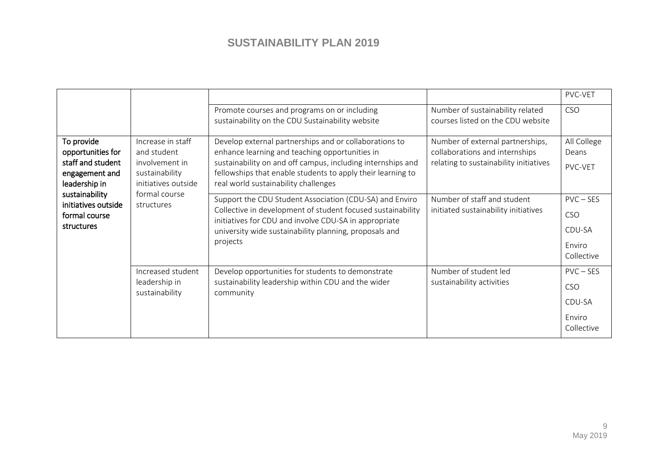|                                                                                         |                                                                                             |                                                                                                                                                                                                                                                                                |                                                                                                              | PVC-VET                                                     |
|-----------------------------------------------------------------------------------------|---------------------------------------------------------------------------------------------|--------------------------------------------------------------------------------------------------------------------------------------------------------------------------------------------------------------------------------------------------------------------------------|--------------------------------------------------------------------------------------------------------------|-------------------------------------------------------------|
|                                                                                         |                                                                                             | Promote courses and programs on or including<br>sustainability on the CDU Sustainability website                                                                                                                                                                               | Number of sustainability related<br>courses listed on the CDU website                                        | <b>CSO</b>                                                  |
| To provide<br>opportunities for<br>staff and student<br>engagement and<br>leadership in | Increase in staff<br>and student<br>involvement in<br>sustainability<br>initiatives outside | Develop external partnerships and or collaborations to<br>enhance learning and teaching opportunities in<br>sustainability on and off campus, including internships and<br>fellowships that enable students to apply their learning to<br>real world sustainability challenges | Number of external partnerships,<br>collaborations and internships<br>relating to sustainability initiatives | All College<br>Deans<br>PVC-VET                             |
| sustainability<br>initiatives outside<br>formal course<br>structures                    | formal course<br>structures                                                                 | Support the CDU Student Association (CDU-SA) and Enviro<br>Collective in development of student focused sustainability<br>initiatives for CDU and involve CDU-SA in appropriate<br>university wide sustainability planning, proposals and<br>projects                          | Number of staff and student<br>initiated sustainability initiatives                                          | $PVC - SES$<br><b>CSO</b><br>CDU-SA<br>Enviro<br>Collective |
|                                                                                         | Increased student<br>leadership in<br>sustainability                                        | Develop opportunities for students to demonstrate<br>sustainability leadership within CDU and the wider<br>community                                                                                                                                                           | Number of student led<br>sustainability activities                                                           | $PVC - SES$<br><b>CSO</b><br>CDU-SA<br>Enviro<br>Collective |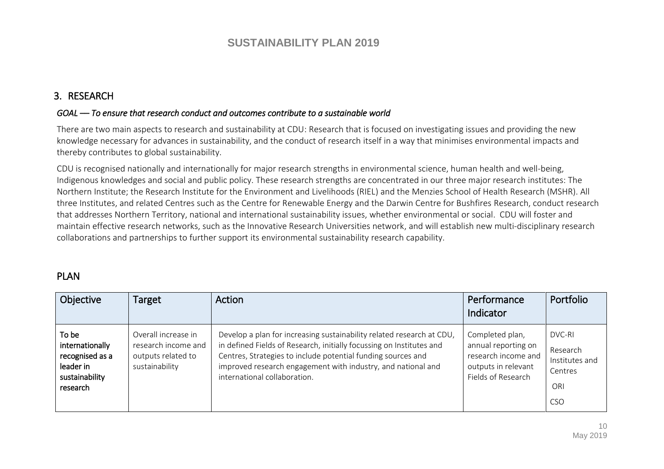### 3. RESEARCH

#### *GOAL –– To ensure that research conduct and outcomes contribute to a sustainable world*

There are two main aspects to research and sustainability at CDU: Research that is focused on investigating issues and providing the new knowledge necessary for advances in sustainability, and the conduct of research itself in a way that minimises environmental impacts and thereby contributes to global sustainability.

CDU is recognised nationally and internationally for major research strengths in environmental science, human health and well-being, Indigenous knowledges and social and public policy. These research strengths are concentrated in our three major research institutes: The Northern Institute; the Research Institute for the Environment and Livelihoods (RIEL) and the Menzies School of Health Research (MSHR). All three Institutes, and related Centres such as the Centre for Renewable Energy and the Darwin Centre for Bushfires Research, conduct research that addresses Northern Territory, national and international sustainability issues, whether environmental or social. CDU will foster and maintain effective research networks, such as the Innovative Research Universities network, and will establish new multi-disciplinary research collaborations and partnerships to further support its environmental sustainability research capability.

### PLAN

| Objective                                                                              | Target                                                                             | Action                                                                                                                                                                                                                                                                                                        | Performance<br>Indicator                                                                                   | Portfolio                                                     |
|----------------------------------------------------------------------------------------|------------------------------------------------------------------------------------|---------------------------------------------------------------------------------------------------------------------------------------------------------------------------------------------------------------------------------------------------------------------------------------------------------------|------------------------------------------------------------------------------------------------------------|---------------------------------------------------------------|
| To be<br>internationally<br>recognised as a<br>leader in<br>sustainability<br>research | Overall increase in<br>research income and<br>outputs related to<br>sustainability | Develop a plan for increasing sustainability related research at CDU,<br>in defined Fields of Research, initially focussing on Institutes and<br>Centres, Strategies to include potential funding sources and<br>improved research engagement with industry, and national and<br>international collaboration. | Completed plan,<br>annual reporting on<br>research income and<br>outputs in relevant<br>Fields of Research | DVC-RI<br>Research<br>Institutes and<br>Centres<br>ORI<br>CSO |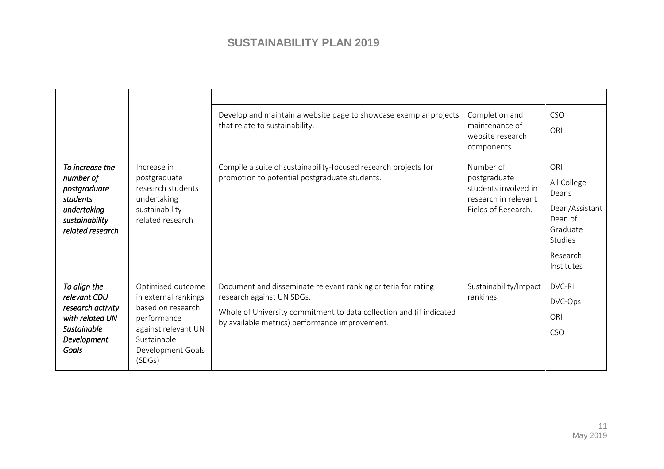|                                                                                                                    |                                                                                                                                                    | Develop and maintain a website page to showcase exemplar projects<br>that relate to sustainability.                                                                                                                 | Completion and<br>maintenance of<br>website research<br>components                               | <b>CSO</b><br>ORI                                                                                         |
|--------------------------------------------------------------------------------------------------------------------|----------------------------------------------------------------------------------------------------------------------------------------------------|---------------------------------------------------------------------------------------------------------------------------------------------------------------------------------------------------------------------|--------------------------------------------------------------------------------------------------|-----------------------------------------------------------------------------------------------------------|
| To increase the<br>number of<br>postgraduate<br>students<br>undertaking<br>sustainability<br>related research      | Increase in<br>postgraduate<br>research students<br>undertaking<br>sustainability -<br>related research                                            | Compile a suite of sustainability-focused research projects for<br>promotion to potential postgraduate students.                                                                                                    | Number of<br>postgraduate<br>students involved in<br>research in relevant<br>Fields of Research. | ORI<br>All College<br>Deans<br>Dean/Assistant<br>Dean of<br>Graduate<br>Studies<br>Research<br>Institutes |
| To align the<br>relevant CDU<br>research activity<br>with related UN<br><b>Sustainable</b><br>Development<br>Goals | Optimised outcome<br>in external rankings<br>based on research<br>performance<br>against relevant UN<br>Sustainable<br>Development Goals<br>(SDGS) | Document and disseminate relevant ranking criteria for rating<br>research against UN SDGs.<br>Whole of University commitment to data collection and (if indicated<br>by available metrics) performance improvement. | Sustainability/Impact<br>rankings                                                                | DVC-RI<br>DVC-Ops<br>ORI<br><b>CSO</b>                                                                    |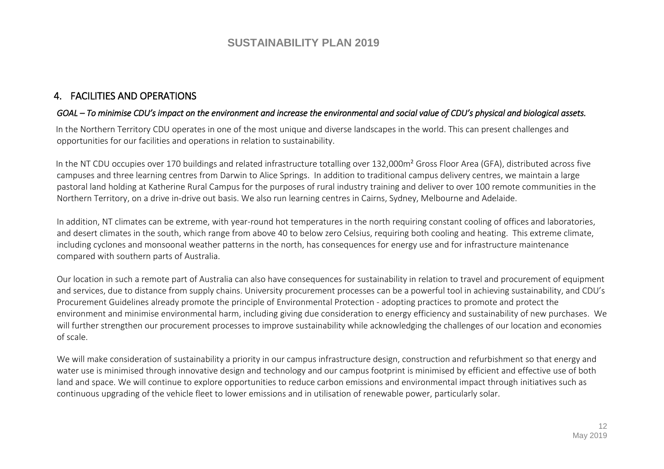### 4. FACILITIES AND OPERATIONS

#### *GOAL – To minimise CDU's impact on the environment and increase the environmental and social value of CDU's physical and biological assets.*

In the Northern Territory CDU operates in one of the most unique and diverse landscapes in the world. This can present challenges and opportunities for our facilities and operations in relation to sustainability.

In the NT CDU occupies over 170 buildings and related infrastructure totalling over 132,000m<sup>2</sup> Gross Floor Area (GFA), distributed across five campuses and three learning centres from Darwin to Alice Springs. In addition to traditional campus delivery centres, we maintain a large pastoral land holding at Katherine Rural Campus for the purposes of rural industry training and deliver to over 100 remote communities in the Northern Territory, on a drive in-drive out basis. We also run learning centres in Cairns, Sydney, Melbourne and Adelaide.

In addition, NT climates can be extreme, with year-round hot temperatures in the north requiring constant cooling of offices and laboratories, and desert climates in the south, which range from above 40 to below zero Celsius, requiring both cooling and heating. This extreme climate, including cyclones and monsoonal weather patterns in the north, has consequences for energy use and for infrastructure maintenance compared with southern parts of Australia.

Our location in such a remote part of Australia can also have consequences for sustainability in relation to travel and procurement of equipment and services, due to distance from supply chains. University procurement processes can be a powerful tool in achieving sustainability, and CDU's Procurement Guidelines already promote the principle of Environmental Protection - adopting practices to promote and protect the environment and minimise environmental harm, including giving due consideration to energy efficiency and sustainability of new purchases. We will further strengthen our procurement processes to improve sustainability while acknowledging the challenges of our location and economies of scale.

We will make consideration of sustainability a priority in our campus infrastructure design, construction and refurbishment so that energy and water use is minimised through innovative design and technology and our campus footprint is minimised by efficient and effective use of both land and space. We will continue to explore opportunities to reduce carbon emissions and environmental impact through initiatives such as continuous upgrading of the vehicle fleet to lower emissions and in utilisation of renewable power, particularly solar.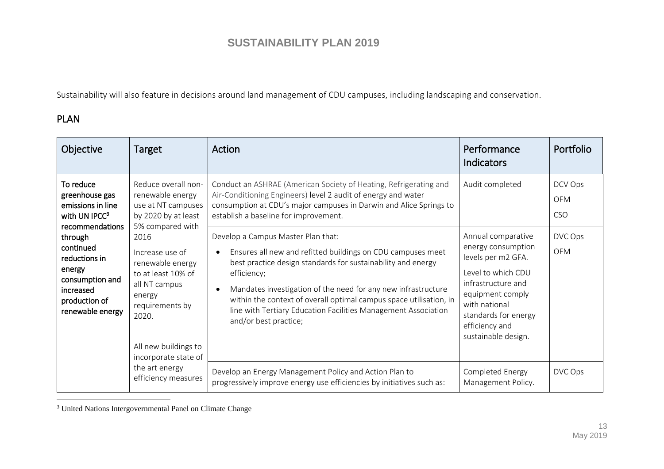Sustainability will also feature in decisions around land management of CDU campuses, including landscaping and conservation.

### PLAN

 $\overline{a}$ 

| Objective                                                                                                                                                                                                                                                                                                                                                                            | Target                                                                                | Action                                                                                                                                                                                                                                                                                                                                                                                                             | Performance<br><b>Indicators</b>                                                                                                                                                                                 | Portfolio                           |
|--------------------------------------------------------------------------------------------------------------------------------------------------------------------------------------------------------------------------------------------------------------------------------------------------------------------------------------------------------------------------------------|---------------------------------------------------------------------------------------|--------------------------------------------------------------------------------------------------------------------------------------------------------------------------------------------------------------------------------------------------------------------------------------------------------------------------------------------------------------------------------------------------------------------|------------------------------------------------------------------------------------------------------------------------------------------------------------------------------------------------------------------|-------------------------------------|
| To reduce<br>renewable energy<br>greenhouse gas<br>emissions in line<br>with UN IPC $C^3$<br>5% compared with<br>recommendations<br>through<br>2016<br>continued<br>Increase use of<br>reductions in<br>renewable energy<br>energy<br>to at least 10% of<br>consumption and<br>all NT campus<br>increased<br>energy<br>production of<br>requirements by<br>renewable energy<br>2020. | Reduce overall non-<br>use at NT campuses<br>by 2020 by at least                      | Conduct an ASHRAE (American Society of Heating, Refrigerating and<br>Air-Conditioning Engineers) level 2 audit of energy and water<br>consumption at CDU's major campuses in Darwin and Alice Springs to<br>establish a baseline for improvement.                                                                                                                                                                  | Audit completed                                                                                                                                                                                                  | DCV Ops<br><b>OFM</b><br><b>CSO</b> |
|                                                                                                                                                                                                                                                                                                                                                                                      | All new buildings to<br>incorporate state of<br>the art energy<br>efficiency measures | Develop a Campus Master Plan that:<br>Ensures all new and refitted buildings on CDU campuses meet<br>best practice design standards for sustainability and energy<br>efficiency;<br>Mandates investigation of the need for any new infrastructure<br>within the context of overall optimal campus space utilisation, in<br>line with Tertiary Education Facilities Management Association<br>and/or best practice; | Annual comparative<br>energy consumption<br>levels per m2 GFA.<br>Level to which CDU<br>infrastructure and<br>equipment comply<br>with national<br>standards for energy<br>efficiency and<br>sustainable design. | DVC Ops<br><b>OFM</b>               |
|                                                                                                                                                                                                                                                                                                                                                                                      |                                                                                       | Develop an Energy Management Policy and Action Plan to<br>progressively improve energy use efficiencies by initiatives such as:                                                                                                                                                                                                                                                                                    | Completed Energy<br>Management Policy.                                                                                                                                                                           | DVC Ops                             |

<sup>&</sup>lt;sup>3</sup> United Nations Intergovernmental Panel on Climate Change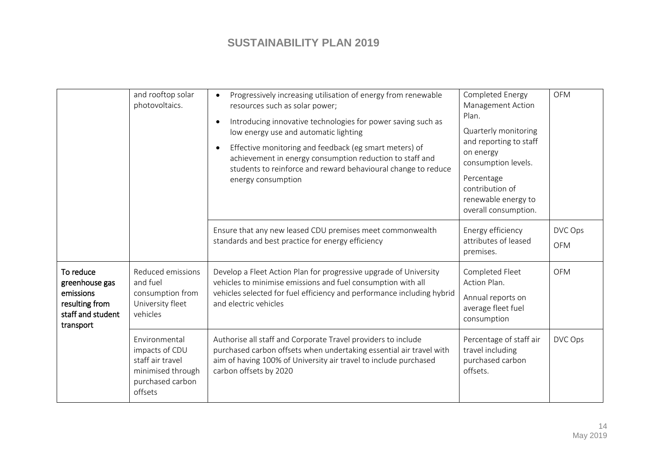|                                                                                              | and rooftop solar<br>photovoltaics.                                                                     | Progressively increasing utilisation of energy from renewable<br>resources such as solar power;<br>Introducing innovative technologies for power saving such as<br>low energy use and automatic lighting<br>Effective monitoring and feedback (eg smart meters) of<br>achievement in energy consumption reduction to staff and<br>students to reinforce and reward behavioural change to reduce<br>energy consumption | Completed Energy<br>Management Action<br>Plan.<br>Quarterly monitoring<br>and reporting to staff<br>on energy<br>consumption levels.<br>Percentage<br>contribution of<br>renewable energy to<br>overall consumption. | <b>OFM</b>            |
|----------------------------------------------------------------------------------------------|---------------------------------------------------------------------------------------------------------|-----------------------------------------------------------------------------------------------------------------------------------------------------------------------------------------------------------------------------------------------------------------------------------------------------------------------------------------------------------------------------------------------------------------------|----------------------------------------------------------------------------------------------------------------------------------------------------------------------------------------------------------------------|-----------------------|
|                                                                                              |                                                                                                         | Ensure that any new leased CDU premises meet commonwealth<br>standards and best practice for energy efficiency                                                                                                                                                                                                                                                                                                        | Energy efficiency<br>attributes of leased<br>premises.                                                                                                                                                               | DVC Ops<br><b>OFM</b> |
| To reduce<br>greenhouse gas<br>emissions<br>resulting from<br>staff and student<br>transport | Reduced emissions<br>and fuel<br>consumption from<br>University fleet<br>vehicles                       | Develop a Fleet Action Plan for progressive upgrade of University<br>vehicles to minimise emissions and fuel consumption with all<br>vehicles selected for fuel efficiency and performance including hybrid<br>and electric vehicles                                                                                                                                                                                  | Completed Fleet<br>Action Plan.<br>Annual reports on<br>average fleet fuel<br>consumption                                                                                                                            | <b>OFM</b>            |
|                                                                                              | Environmental<br>impacts of CDU<br>staff air travel<br>minimised through<br>purchased carbon<br>offsets | Authorise all staff and Corporate Travel providers to include<br>purchased carbon offsets when undertaking essential air travel with<br>aim of having 100% of University air travel to include purchased<br>carbon offsets by 2020                                                                                                                                                                                    | Percentage of staff air<br>travel including<br>purchased carbon<br>offsets.                                                                                                                                          | DVC Ops               |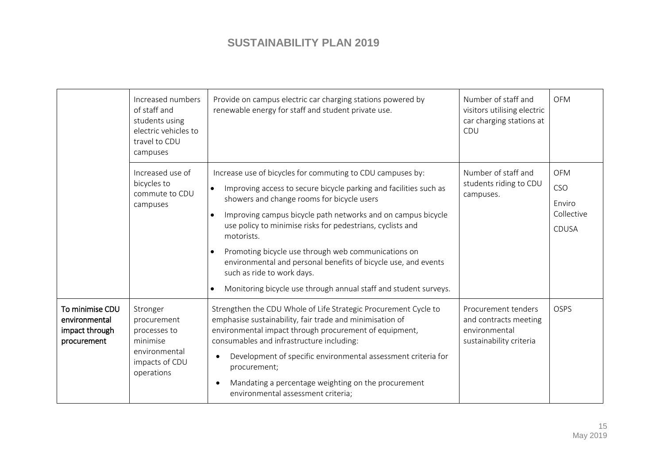|                                                                   | Increased numbers<br>of staff and<br>students using<br>electric vehicles to<br>travel to CDU<br>campuses | Provide on campus electric car charging stations powered by<br>renewable energy for staff and student private use.                                                                                                                                                                                                                                                                                                                                                                                                                                                             | Number of staff and<br>visitors utilising electric<br>car charging stations at<br>CDU    | <b>OFM</b>                                                |
|-------------------------------------------------------------------|----------------------------------------------------------------------------------------------------------|--------------------------------------------------------------------------------------------------------------------------------------------------------------------------------------------------------------------------------------------------------------------------------------------------------------------------------------------------------------------------------------------------------------------------------------------------------------------------------------------------------------------------------------------------------------------------------|------------------------------------------------------------------------------------------|-----------------------------------------------------------|
|                                                                   | Increased use of<br>bicycles to<br>commute to CDU<br>campuses                                            | Increase use of bicycles for commuting to CDU campuses by:<br>Improving access to secure bicycle parking and facilities such as<br>$\bullet$<br>showers and change rooms for bicycle users<br>Improving campus bicycle path networks and on campus bicycle<br>use policy to minimise risks for pedestrians, cyclists and<br>motorists.<br>Promoting bicycle use through web communications on<br>$\bullet$<br>environmental and personal benefits of bicycle use, and events<br>such as ride to work days.<br>Monitoring bicycle use through annual staff and student surveys. | Number of staff and<br>students riding to CDU<br>campuses.                               | <b>OFM</b><br>CSO<br>Enviro<br>Collective<br><b>CDUSA</b> |
| To minimise CDU<br>environmental<br>impact through<br>procurement | Stronger<br>procurement<br>processes to<br>minimise<br>environmental<br>impacts of CDU<br>operations     | Strengthen the CDU Whole of Life Strategic Procurement Cycle to<br>emphasise sustainability, fair trade and minimisation of<br>environmental impact through procurement of equipment,<br>consumables and infrastructure including:<br>Development of specific environmental assessment criteria for<br>procurement;<br>Mandating a percentage weighting on the procurement<br>environmental assessment criteria;                                                                                                                                                               | Procurement tenders<br>and contracts meeting<br>environmental<br>sustainability criteria | <b>OSPS</b>                                               |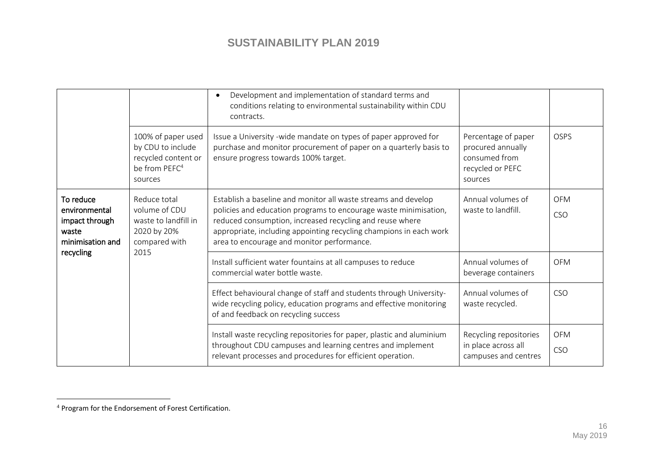|                                                                           |                                                                                                        | Development and implementation of standard terms and<br>conditions relating to environmental sustainability within CDU<br>contracts.                                                                                                                                                                               |                                                                                          |                          |
|---------------------------------------------------------------------------|--------------------------------------------------------------------------------------------------------|--------------------------------------------------------------------------------------------------------------------------------------------------------------------------------------------------------------------------------------------------------------------------------------------------------------------|------------------------------------------------------------------------------------------|--------------------------|
|                                                                           | 100% of paper used<br>by CDU to include<br>recycled content or<br>be from PEFC <sup>4</sup><br>sources | Issue a University -wide mandate on types of paper approved for<br>purchase and monitor procurement of paper on a quarterly basis to<br>ensure progress towards 100% target.                                                                                                                                       | Percentage of paper<br>procured annually<br>consumed from<br>recycled or PEFC<br>sources | <b>OSPS</b>              |
| To reduce<br>environmental<br>impact through<br>waste<br>minimisation and | Reduce total<br>volume of CDU<br>waste to landfill in<br>2020 by 20%<br>compared with<br>2015          | Establish a baseline and monitor all waste streams and develop<br>policies and education programs to encourage waste minimisation,<br>reduced consumption, increased recycling and reuse where<br>appropriate, including appointing recycling champions in each work<br>area to encourage and monitor performance. | Annual volumes of<br>waste to landfill.                                                  | <b>OFM</b><br><b>CSO</b> |
| recycling                                                                 |                                                                                                        | Install sufficient water fountains at all campuses to reduce<br>commercial water bottle waste.                                                                                                                                                                                                                     | Annual volumes of<br>beverage containers                                                 | <b>OFM</b>               |
|                                                                           |                                                                                                        | Effect behavioural change of staff and students through University-<br>wide recycling policy, education programs and effective monitoring<br>of and feedback on recycling success                                                                                                                                  | Annual volumes of<br>waste recycled.                                                     | CSO                      |
|                                                                           |                                                                                                        | Install waste recycling repositories for paper, plastic and aluminium<br>throughout CDU campuses and learning centres and implement<br>relevant processes and procedures for efficient operation.                                                                                                                  | Recycling repositories<br>in place across all<br>campuses and centres                    | <b>OFM</b><br><b>CSO</b> |

 $\overline{a}$ 

<sup>&</sup>lt;sup>4</sup> Program for the Endorsement of Forest Certification.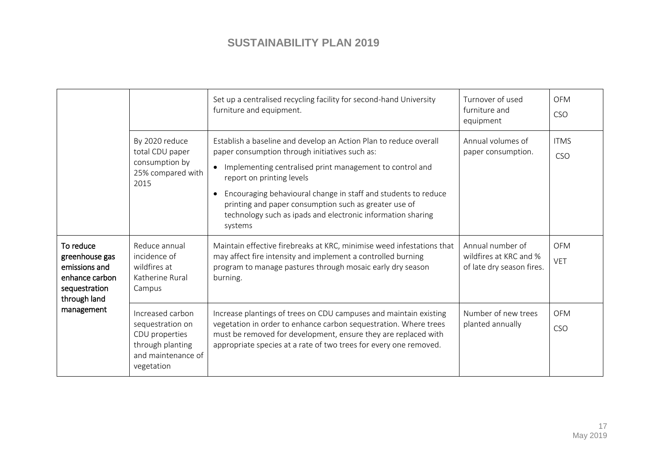|                                                                                                               |                                                                                                                | Set up a centralised recycling facility for second-hand University<br>furniture and equipment.                                                                                                                                                                                                                                                                                                                    | Turnover of used<br>furniture and<br>equipment                          | <b>OFM</b><br><b>CSO</b>  |
|---------------------------------------------------------------------------------------------------------------|----------------------------------------------------------------------------------------------------------------|-------------------------------------------------------------------------------------------------------------------------------------------------------------------------------------------------------------------------------------------------------------------------------------------------------------------------------------------------------------------------------------------------------------------|-------------------------------------------------------------------------|---------------------------|
|                                                                                                               | By 2020 reduce<br>total CDU paper<br>consumption by<br>25% compared with<br>2015                               | Establish a baseline and develop an Action Plan to reduce overall<br>paper consumption through initiatives such as:<br>Implementing centralised print management to control and<br>report on printing levels<br>Encouraging behavioural change in staff and students to reduce<br>printing and paper consumption such as greater use of<br>technology such as ipads and electronic information sharing<br>systems | Annual volumes of<br>paper consumption.                                 | <b>ITMS</b><br><b>CSO</b> |
| To reduce<br>greenhouse gas<br>emissions and<br>enhance carbon<br>sequestration<br>through land<br>management | Reduce annual<br>incidence of<br>wildfires at<br>Katherine Rural<br>Campus                                     | Maintain effective firebreaks at KRC, minimise weed infestations that<br>may affect fire intensity and implement a controlled burning<br>program to manage pastures through mosaic early dry season<br>burning.                                                                                                                                                                                                   | Annual number of<br>wildfires at KRC and %<br>of late dry season fires. | <b>OFM</b><br><b>VET</b>  |
|                                                                                                               | Increased carbon<br>sequestration on<br>CDU properties<br>through planting<br>and maintenance of<br>vegetation | Increase plantings of trees on CDU campuses and maintain existing<br>vegetation in order to enhance carbon sequestration. Where trees<br>must be removed for development, ensure they are replaced with<br>appropriate species at a rate of two trees for every one removed.                                                                                                                                      | Number of new trees<br>planted annually                                 | <b>OFM</b><br><b>CSO</b>  |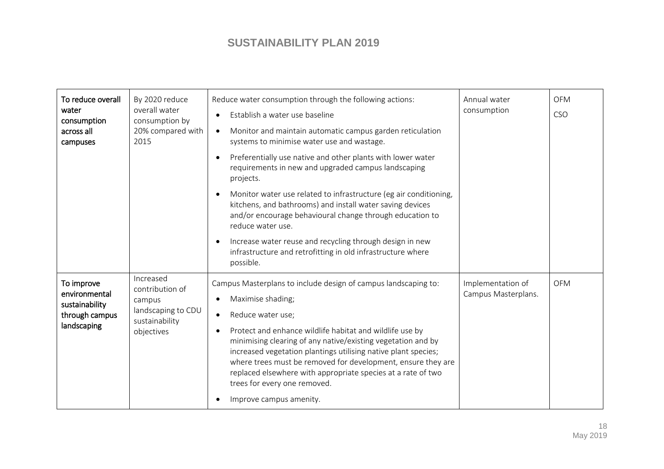| To reduce overall<br>water<br>consumption<br>across all<br>campuses            | By 2020 reduce<br>overall water<br>consumption by<br>20% compared with<br>2015               | Reduce water consumption through the following actions:<br>Establish a water use baseline<br>Monitor and maintain automatic campus garden reticulation<br>$\bullet$<br>systems to minimise water use and wastage.<br>Preferentially use native and other plants with lower water<br>$\bullet$<br>requirements in new and upgraded campus landscaping<br>projects.<br>Monitor water use related to infrastructure (eg air conditioning,<br>kitchens, and bathrooms) and install water saving devices<br>and/or encourage behavioural change through education to<br>reduce water use.<br>Increase water reuse and recycling through design in new | Annual water<br>consumption              | <b>OFM</b><br><b>CSO</b> |
|--------------------------------------------------------------------------------|----------------------------------------------------------------------------------------------|--------------------------------------------------------------------------------------------------------------------------------------------------------------------------------------------------------------------------------------------------------------------------------------------------------------------------------------------------------------------------------------------------------------------------------------------------------------------------------------------------------------------------------------------------------------------------------------------------------------------------------------------------|------------------------------------------|--------------------------|
| To improve<br>environmental<br>sustainability<br>through campus<br>landscaping | Increased<br>contribution of<br>campus<br>landscaping to CDU<br>sustainability<br>objectives | infrastructure and retrofitting in old infrastructure where<br>possible.<br>Campus Masterplans to include design of campus landscaping to:<br>Maximise shading;<br>Reduce water use;<br>$\bullet$<br>Protect and enhance wildlife habitat and wildlife use by<br>$\bullet$<br>minimising clearing of any native/existing vegetation and by<br>increased vegetation plantings utilising native plant species;<br>where trees must be removed for development, ensure they are<br>replaced elsewhere with appropriate species at a rate of two<br>trees for every one removed.<br>Improve campus amenity.                                          | Implementation of<br>Campus Masterplans. | <b>OFM</b>               |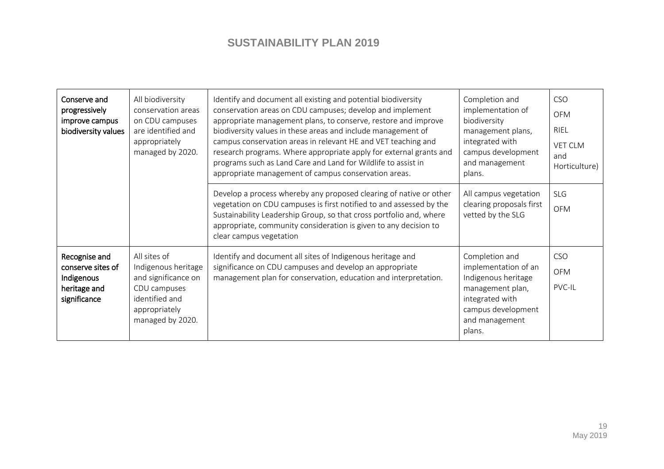| Conserve and<br>progressively<br>improve campus<br>biodiversity values           | All biodiversity<br>conservation areas<br>on CDU campuses<br>are identified and<br>appropriately<br>managed by 2020.              | Identify and document all existing and potential biodiversity<br>conservation areas on CDU campuses; develop and implement<br>appropriate management plans, to conserve, restore and improve<br>biodiversity values in these areas and include management of<br>campus conservation areas in relevant HE and VET teaching and<br>research programs. Where appropriate apply for external grants and<br>programs such as Land Care and Land for Wildlife to assist in<br>appropriate management of campus conservation areas. | Completion and<br>implementation of<br>biodiversity<br>management plans,<br>integrated with<br>campus development<br>and management<br>plans.          | <b>CSO</b><br><b>OFM</b><br><b>RIEL</b><br><b>VET CLM</b><br>and<br>Horticulture) |
|----------------------------------------------------------------------------------|-----------------------------------------------------------------------------------------------------------------------------------|------------------------------------------------------------------------------------------------------------------------------------------------------------------------------------------------------------------------------------------------------------------------------------------------------------------------------------------------------------------------------------------------------------------------------------------------------------------------------------------------------------------------------|--------------------------------------------------------------------------------------------------------------------------------------------------------|-----------------------------------------------------------------------------------|
|                                                                                  |                                                                                                                                   | Develop a process whereby any proposed clearing of native or other<br>vegetation on CDU campuses is first notified to and assessed by the<br>Sustainability Leadership Group, so that cross portfolio and, where<br>appropriate, community consideration is given to any decision to<br>clear campus vegetation                                                                                                                                                                                                              | All campus vegetation<br>clearing proposals first<br>vetted by the SLG                                                                                 | SLG<br><b>OFM</b>                                                                 |
| Recognise and<br>conserve sites of<br>Indigenous<br>heritage and<br>significance | All sites of<br>Indigenous heritage<br>and significance on<br>CDU campuses<br>identified and<br>appropriately<br>managed by 2020. | Identify and document all sites of Indigenous heritage and<br>significance on CDU campuses and develop an appropriate<br>management plan for conservation, education and interpretation.                                                                                                                                                                                                                                                                                                                                     | Completion and<br>implementation of an<br>Indigenous heritage<br>management plan,<br>integrated with<br>campus development<br>and management<br>plans. | <b>CSO</b><br><b>OFM</b><br>PVC-IL                                                |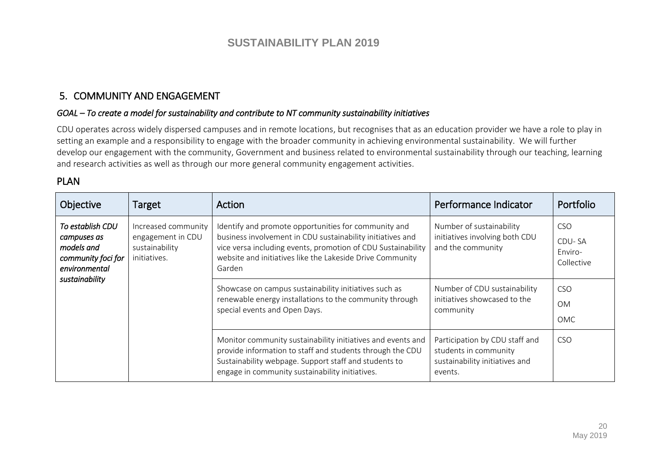### 5. COMMUNITY AND ENGAGEMENT

#### *GOAL – To create a model for sustainability and contribute to NT community sustainability initiatives*

CDU operates across widely dispersed campuses and in remote locations, but recognises that as an education provider we have a role to play in setting an example and a responsibility to engage with the broader community in achieving environmental sustainability. We will further develop our engagement with the community, Government and business related to environmental sustainability through our teaching, learning and research activities as well as through our more general community engagement activities.

### PLAN

| Objective                                                                                              | Target                                                                     | Action                                                                                                                                                                                                                                                    | Performance Indicator                                                                                | Portfolio                                     |
|--------------------------------------------------------------------------------------------------------|----------------------------------------------------------------------------|-----------------------------------------------------------------------------------------------------------------------------------------------------------------------------------------------------------------------------------------------------------|------------------------------------------------------------------------------------------------------|-----------------------------------------------|
| To establish CDU<br>campuses as<br>models and<br>community foci for<br>environmental<br>sustainability | Increased community<br>engagement in CDU<br>sustainability<br>initiatives. | Identify and promote opportunities for community and<br>business involvement in CDU sustainability initiatives and<br>vice versa including events, promotion of CDU Sustainability<br>website and initiatives like the Lakeside Drive Community<br>Garden | Number of sustainability<br>initiatives involving both CDU<br>and the community                      | <b>CSO</b><br>CDU-SA<br>Enviro-<br>Collective |
|                                                                                                        |                                                                            | Showcase on campus sustainability initiatives such as<br>renewable energy installations to the community through<br>special events and Open Days.                                                                                                         | Number of CDU sustainability<br>initiatives showcased to the<br>community                            | <b>CSO</b><br><b>OM</b><br><b>OMC</b>         |
|                                                                                                        |                                                                            | Monitor community sustainability initiatives and events and<br>provide information to staff and students through the CDU<br>Sustainability webpage. Support staff and students to<br>engage in community sustainability initiatives.                      | Participation by CDU staff and<br>students in community<br>sustainability initiatives and<br>events. | <b>CSO</b>                                    |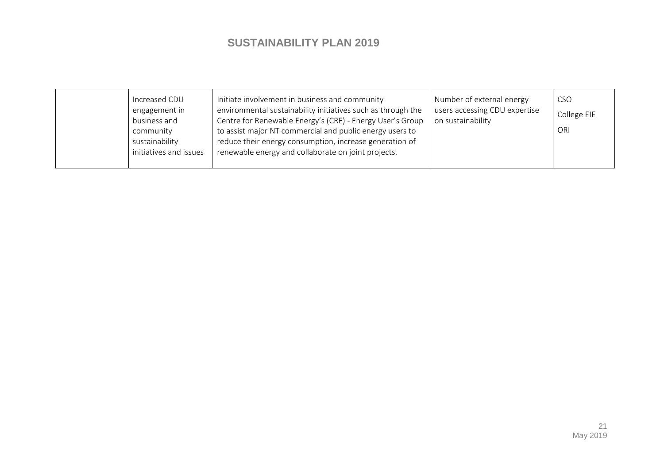|  | Increased CDU<br>engagement in<br>business and<br>community<br>sustainability<br>initiatives and issues | Initiate involvement in business and community<br>environmental sustainability initiatives such as through the<br>Centre for Renewable Energy's (CRE) - Energy User's Group<br>to assist major NT commercial and public energy users to<br>reduce their energy consumption, increase generation of<br>renewable energy and collaborate on joint projects. | Number of external energy<br>users accessing CDU expertise<br>on sustainability | <b>CSO</b><br>College EIE<br>ORI |
|--|---------------------------------------------------------------------------------------------------------|-----------------------------------------------------------------------------------------------------------------------------------------------------------------------------------------------------------------------------------------------------------------------------------------------------------------------------------------------------------|---------------------------------------------------------------------------------|----------------------------------|
|--|---------------------------------------------------------------------------------------------------------|-----------------------------------------------------------------------------------------------------------------------------------------------------------------------------------------------------------------------------------------------------------------------------------------------------------------------------------------------------------|---------------------------------------------------------------------------------|----------------------------------|